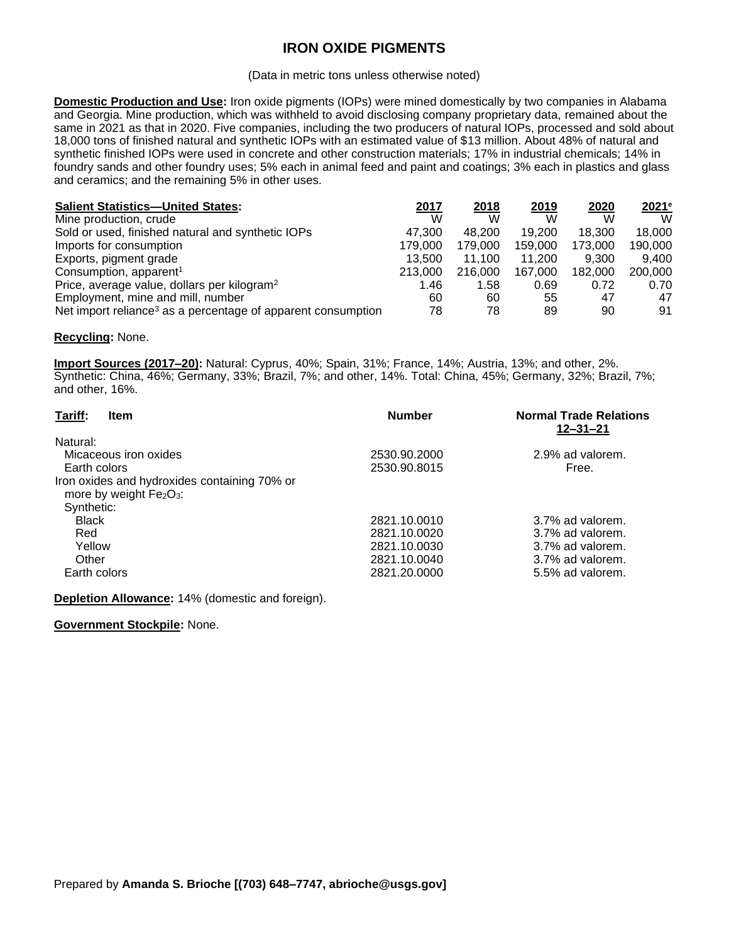# **IRON OXIDE PIGMENTS**

#### (Data in metric tons unless otherwise noted)

**Domestic Production and Use:** Iron oxide pigments (IOPs) were mined domestically by two companies in Alabama and Georgia. Mine production, which was withheld to avoid disclosing company proprietary data, remained about the same in 2021 as that in 2020. Five companies, including the two producers of natural IOPs, processed and sold about 18,000 tons of finished natural and synthetic IOPs with an estimated value of \$13 million. About 48% of natural and synthetic finished IOPs were used in concrete and other construction materials; 17% in industrial chemicals; 14% in foundry sands and other foundry uses; 5% each in animal feed and paint and coatings; 3% each in plastics and glass and ceramics; and the remaining 5% in other uses.

| <b>Salient Statistics-United States:</b>                                 | 2017    | 2018    | 2019    | 2020    | 2021e   |
|--------------------------------------------------------------------------|---------|---------|---------|---------|---------|
| Mine production, crude                                                   | W       | W       | W       | W       | W       |
| Sold or used, finished natural and synthetic IOPs                        | 47.300  | 48.200  | 19.200  | 18.300  | 18.000  |
| Imports for consumption                                                  | 179,000 | 179,000 | 159,000 | 173,000 | 190,000 |
| Exports, pigment grade                                                   | 13.500  | 11.100  | 11.200  | 9.300   | 9.400   |
| Consumption, apparent <sup>1</sup>                                       | 213,000 | 216,000 | 167.000 | 182,000 | 200,000 |
| Price, average value, dollars per kilogram <sup>2</sup>                  | 1.46    | 1.58    | 0.69    | 0.72    | 0.70    |
| Employment, mine and mill, number                                        | 60      | 60      | 55      | 47      | 47      |
| Net import reliance <sup>3</sup> as a percentage of apparent consumption | 78      | 78      | 89      | 90      | 91      |

### **Recycling:** None.

**Import Sources (2017–20):** Natural: Cyprus, 40%; Spain, 31%; France, 14%; Austria, 13%; and other, 2%. Synthetic: China, 46%; Germany, 33%; Brazil, 7%; and other, 14%. Total: China, 45%; Germany, 32%; Brazil, 7%; and other, 16%.

| Tariff:<br><b>Item</b>                       | <b>Number</b> | <b>Normal Trade Relations</b><br>$12 - 31 - 21$ |
|----------------------------------------------|---------------|-------------------------------------------------|
| Natural:                                     |               |                                                 |
| Micaceous iron oxides                        | 2530.90.2000  | 2.9% ad valorem.                                |
| Earth colors                                 | 2530.90.8015  | Free.                                           |
| Iron oxides and hydroxides containing 70% or |               |                                                 |
| more by weight $Fe2O3$ :                     |               |                                                 |
| Synthetic:                                   |               |                                                 |
| <b>Black</b>                                 | 2821.10.0010  | 3.7% ad valorem.                                |
| Red                                          | 2821.10.0020  | 3.7% ad valorem.                                |
| Yellow                                       | 2821.10.0030  | 3.7% ad valorem.                                |
| Other                                        | 2821.10.0040  | 3.7% ad valorem.                                |
| Earth colors                                 | 2821.20.0000  | 5.5% ad valorem.                                |

**Depletion Allowance:** 14% (domestic and foreign).

**Government Stockpile:** None.